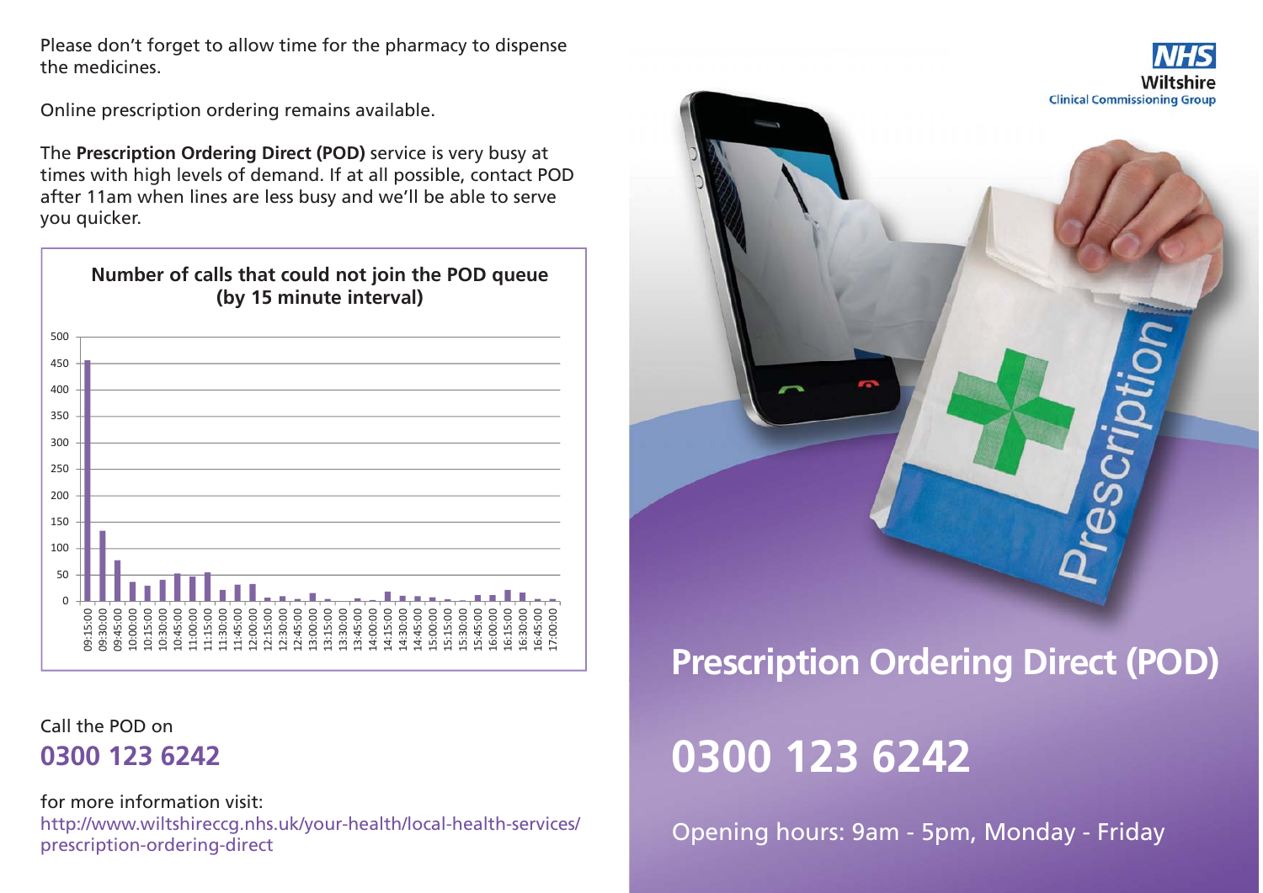Please don't forget to allow time for the pharmacy to dispense the medicines.

Online prescription ordering remains available.

The **Prescription Ordering Direct (POD)** service is very busy at times with high levels of demand. If at all possible, contact POD after 11am when lines are less busy and we'll be able to serve you quicker.



Call the POD on**0300 123 6242**

for more information visit:http://www.wiltshireccg.nhs.uk/your-health/local-health-services/ prescription-ordering-direct



# **Prescription Ordering Direct (POD)**

# **0300 123 6242**

Opening hours: 9am - 5pm, Monday - Friday